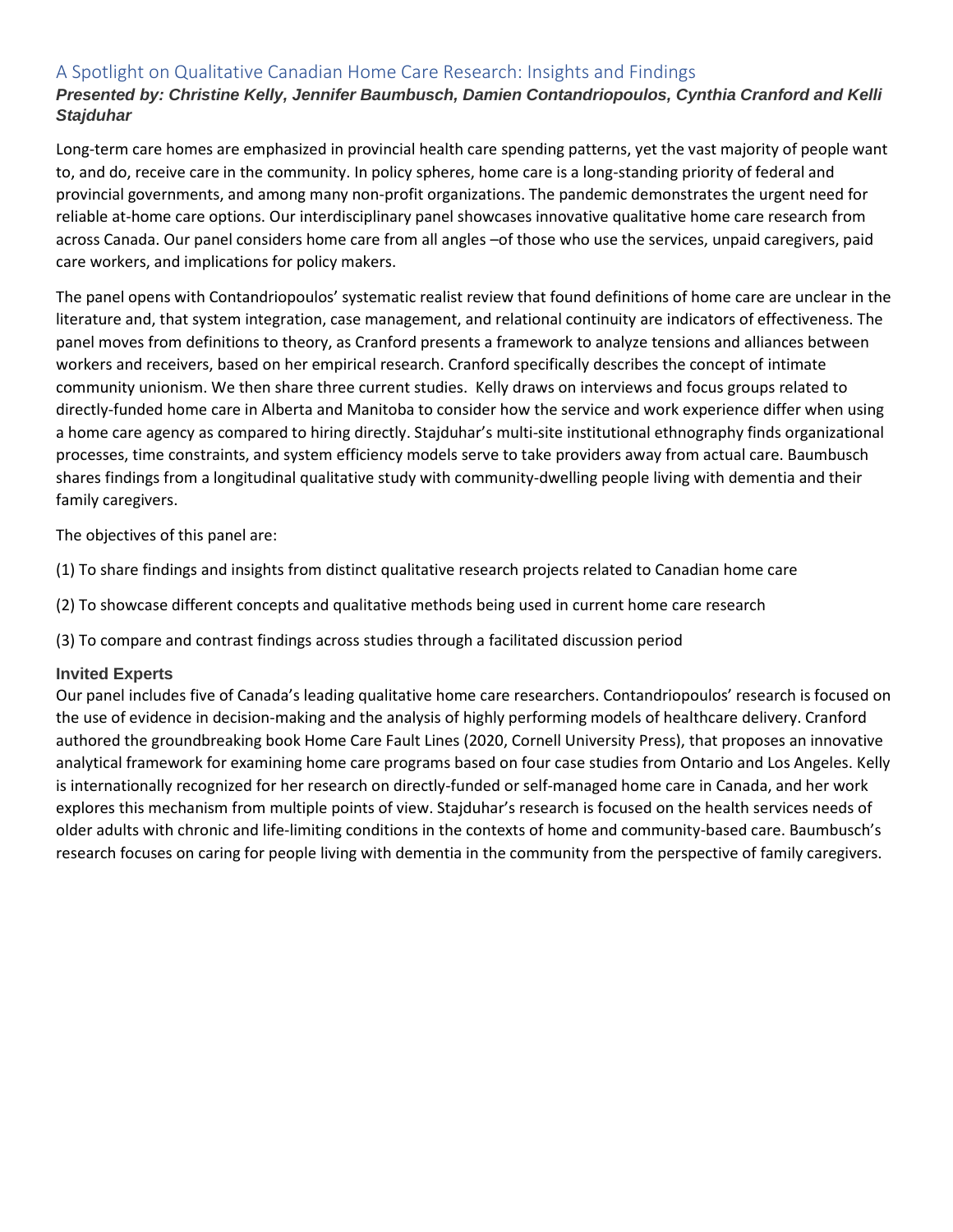# A Spotlight on Qualitative Canadian Home Care Research: Insights and Findings

## *Presented by: Christine Kelly, Jennifer Baumbusch, Damien Contandriopoulos, Cynthia Cranford and Kelli Stajduhar*

Long-term care homes are emphasized in provincial health care spending patterns, yet the vast majority of people want to, and do, receive care in the community. In policy spheres, home care is a long-standing priority of federal and provincial governments, and among many non-profit organizations. The pandemic demonstrates the urgent need for reliable at-home care options. Our interdisciplinary panel showcases innovative qualitative home care research from across Canada. Our panel considers home care from all angles –of those who use the services, unpaid caregivers, paid care workers, and implications for policy makers.

The panel opens with Contandriopoulos' systematic realist review that found definitions of home care are unclear in the literature and, that system integration, case management, and relational continuity are indicators of effectiveness. The panel moves from definitions to theory, as Cranford presents a framework to analyze tensions and alliances between workers and receivers, based on her empirical research. Cranford specifically describes the concept of intimate community unionism. We then share three current studies. Kelly draws on interviews and focus groups related to directly-funded home care in Alberta and Manitoba to consider how the service and work experience differ when using a home care agency as compared to hiring directly. Stajduhar's multi-site institutional ethnography finds organizational processes, time constraints, and system efficiency models serve to take providers away from actual care. Baumbusch shares findings from a longitudinal qualitative study with community-dwelling people living with dementia and their family caregivers.

The objectives of this panel are:

(1) To share findings and insights from distinct qualitative research projects related to Canadian home care

(2) To showcase different concepts and qualitative methods being used in current home care research

(3) To compare and contrast findings across studies through a facilitated discussion period

### **Invited Experts**

Our panel includes five of Canada's leading qualitative home care researchers. Contandriopoulos' research is focused on the use of evidence in decision-making and the analysis of highly performing models of healthcare delivery. Cranford authored the groundbreaking book Home Care Fault Lines (2020, Cornell University Press), that proposes an innovative analytical framework for examining home care programs based on four case studies from Ontario and Los Angeles. Kelly is internationally recognized for her research on directly-funded or self-managed home care in Canada, and her work explores this mechanism from multiple points of view. Stajduhar's research is focused on the health services needs of older adults with chronic and life-limiting conditions in the contexts of home and community-based care. Baumbusch's research focuses on caring for people living with dementia in the community from the perspective of family caregivers.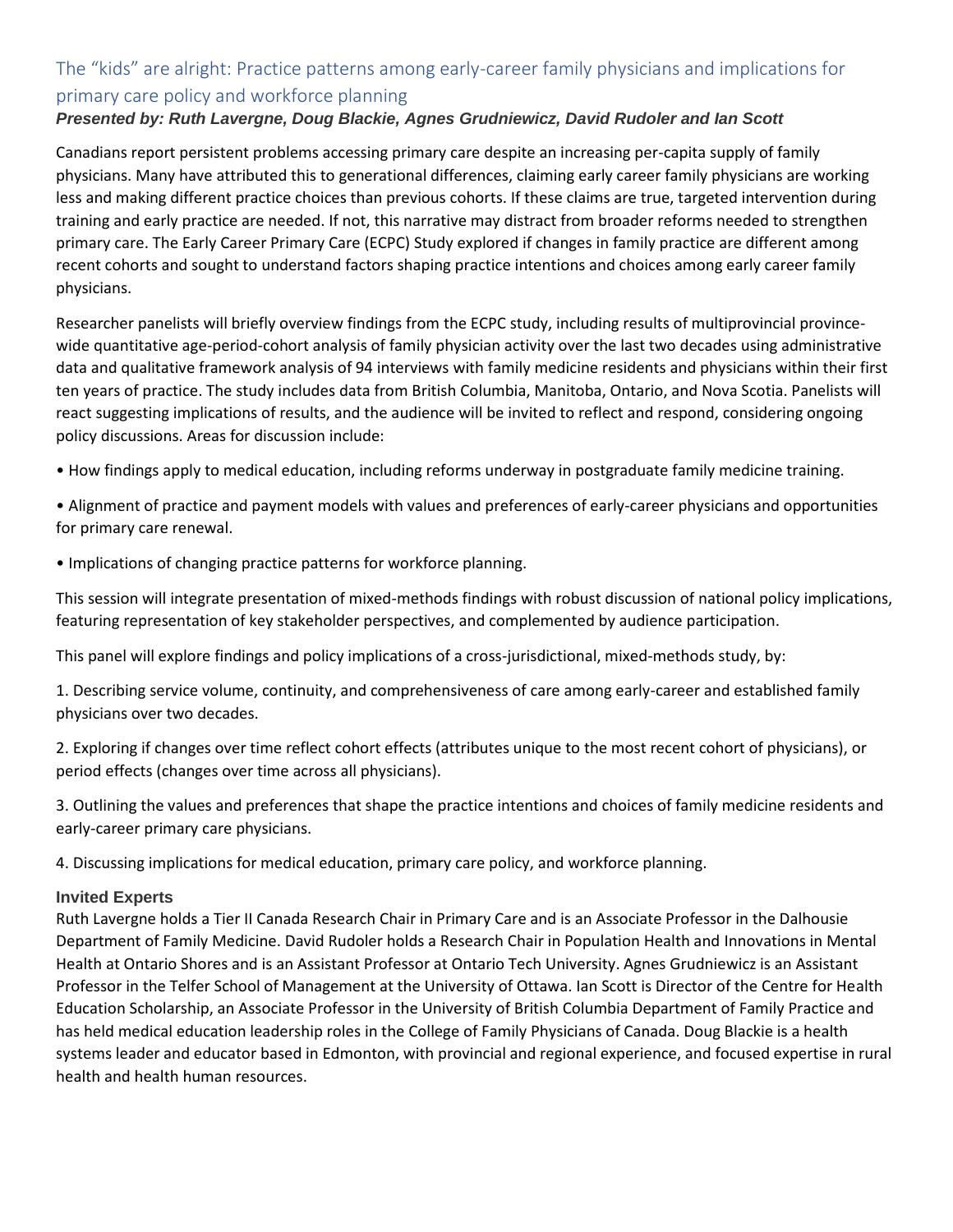# The "kids" are alright: Practice patterns among early-career family physicians and implications for primary care policy and workforce planning

## *Presented by: Ruth Lavergne, Doug Blackie, Agnes Grudniewicz, David Rudoler and Ian Scott*

Canadians report persistent problems accessing primary care despite an increasing per-capita supply of family physicians. Many have attributed this to generational differences, claiming early career family physicians are working less and making different practice choices than previous cohorts. If these claims are true, targeted intervention during training and early practice are needed. If not, this narrative may distract from broader reforms needed to strengthen primary care. The Early Career Primary Care (ECPC) Study explored if changes in family practice are different among recent cohorts and sought to understand factors shaping practice intentions and choices among early career family physicians.

Researcher panelists will briefly overview findings from the ECPC study, including results of multiprovincial provincewide quantitative age-period-cohort analysis of family physician activity over the last two decades using administrative data and qualitative framework analysis of 94 interviews with family medicine residents and physicians within their first ten years of practice. The study includes data from British Columbia, Manitoba, Ontario, and Nova Scotia. Panelists will react suggesting implications of results, and the audience will be invited to reflect and respond, considering ongoing policy discussions. Areas for discussion include:

• How findings apply to medical education, including reforms underway in postgraduate family medicine training.

• Alignment of practice and payment models with values and preferences of early-career physicians and opportunities for primary care renewal.

• Implications of changing practice patterns for workforce planning.

This session will integrate presentation of mixed-methods findings with robust discussion of national policy implications, featuring representation of key stakeholder perspectives, and complemented by audience participation.

This panel will explore findings and policy implications of a cross-jurisdictional, mixed-methods study, by:

1. Describing service volume, continuity, and comprehensiveness of care among early-career and established family physicians over two decades.

2. Exploring if changes over time reflect cohort effects (attributes unique to the most recent cohort of physicians), or period effects (changes over time across all physicians).

3. Outlining the values and preferences that shape the practice intentions and choices of family medicine residents and early-career primary care physicians.

4. Discussing implications for medical education, primary care policy, and workforce planning.

### **Invited Experts**

Ruth Lavergne holds a Tier II Canada Research Chair in Primary Care and is an Associate Professor in the Dalhousie Department of Family Medicine. David Rudoler holds a Research Chair in Population Health and Innovations in Mental Health at Ontario Shores and is an Assistant Professor at Ontario Tech University. Agnes Grudniewicz is an Assistant Professor in the Telfer School of Management at the University of Ottawa. Ian Scott is Director of the Centre for Health Education Scholarship, an Associate Professor in the University of British Columbia Department of Family Practice and has held medical education leadership roles in the College of Family Physicians of Canada. Doug Blackie is a health systems leader and educator based in Edmonton, with provincial and regional experience, and focused expertise in rural health and health human resources.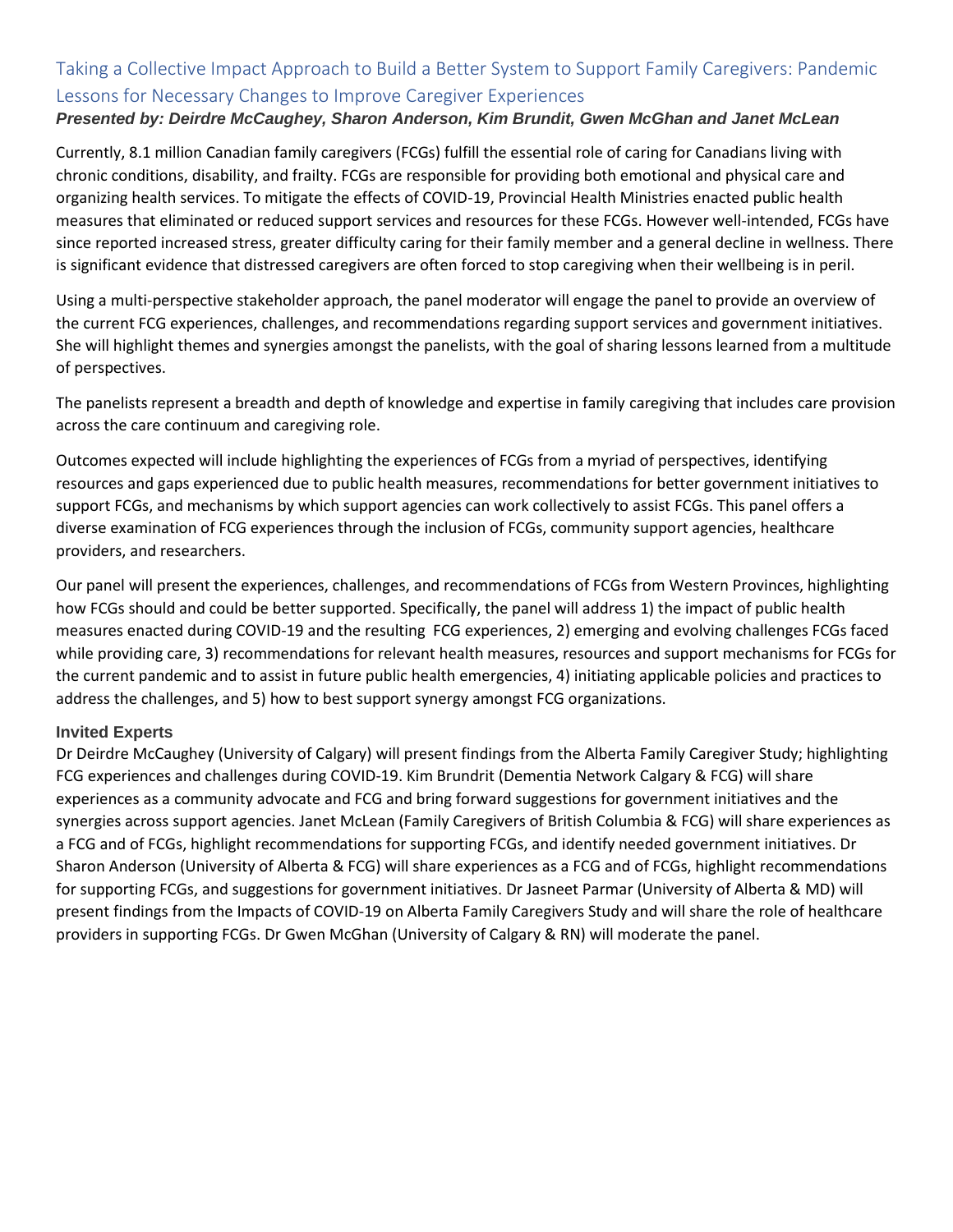# Taking a Collective Impact Approach to Build a Better System to Support Family Caregivers: Pandemic Lessons for Necessary Changes to Improve Caregiver Experiences

## *Presented by: Deirdre McCaughey, Sharon Anderson, Kim Brundit, Gwen McGhan and Janet McLean*

Currently, 8.1 million Canadian family caregivers (FCGs) fulfill the essential role of caring for Canadians living with chronic conditions, disability, and frailty. FCGs are responsible for providing both emotional and physical care and organizing health services. To mitigate the effects of COVID-19, Provincial Health Ministries enacted public health measures that eliminated or reduced support services and resources for these FCGs. However well-intended, FCGs have since reported increased stress, greater difficulty caring for their family member and a general decline in wellness. There is significant evidence that distressed caregivers are often forced to stop caregiving when their wellbeing is in peril.

Using a multi-perspective stakeholder approach, the panel moderator will engage the panel to provide an overview of the current FCG experiences, challenges, and recommendations regarding support services and government initiatives. She will highlight themes and synergies amongst the panelists, with the goal of sharing lessons learned from a multitude of perspectives.

The panelists represent a breadth and depth of knowledge and expertise in family caregiving that includes care provision across the care continuum and caregiving role.

Outcomes expected will include highlighting the experiences of FCGs from a myriad of perspectives, identifying resources and gaps experienced due to public health measures, recommendations for better government initiatives to support FCGs, and mechanisms by which support agencies can work collectively to assist FCGs. This panel offers a diverse examination of FCG experiences through the inclusion of FCGs, community support agencies, healthcare providers, and researchers.

Our panel will present the experiences, challenges, and recommendations of FCGs from Western Provinces, highlighting how FCGs should and could be better supported. Specifically, the panel will address 1) the impact of public health measures enacted during COVID-19 and the resulting FCG experiences, 2) emerging and evolving challenges FCGs faced while providing care, 3) recommendations for relevant health measures, resources and support mechanisms for FCGs for the current pandemic and to assist in future public health emergencies, 4) initiating applicable policies and practices to address the challenges, and 5) how to best support synergy amongst FCG organizations.

### **Invited Experts**

Dr Deirdre McCaughey (University of Calgary) will present findings from the Alberta Family Caregiver Study; highlighting FCG experiences and challenges during COVID-19. Kim Brundrit (Dementia Network Calgary & FCG) will share experiences as a community advocate and FCG and bring forward suggestions for government initiatives and the synergies across support agencies. Janet McLean (Family Caregivers of British Columbia & FCG) will share experiences as a FCG and of FCGs, highlight recommendations for supporting FCGs, and identify needed government initiatives. Dr Sharon Anderson (University of Alberta & FCG) will share experiences as a FCG and of FCGs, highlight recommendations for supporting FCGs, and suggestions for government initiatives. Dr Jasneet Parmar (University of Alberta & MD) will present findings from the Impacts of COVID-19 on Alberta Family Caregivers Study and will share the role of healthcare providers in supporting FCGs. Dr Gwen McGhan (University of Calgary & RN) will moderate the panel.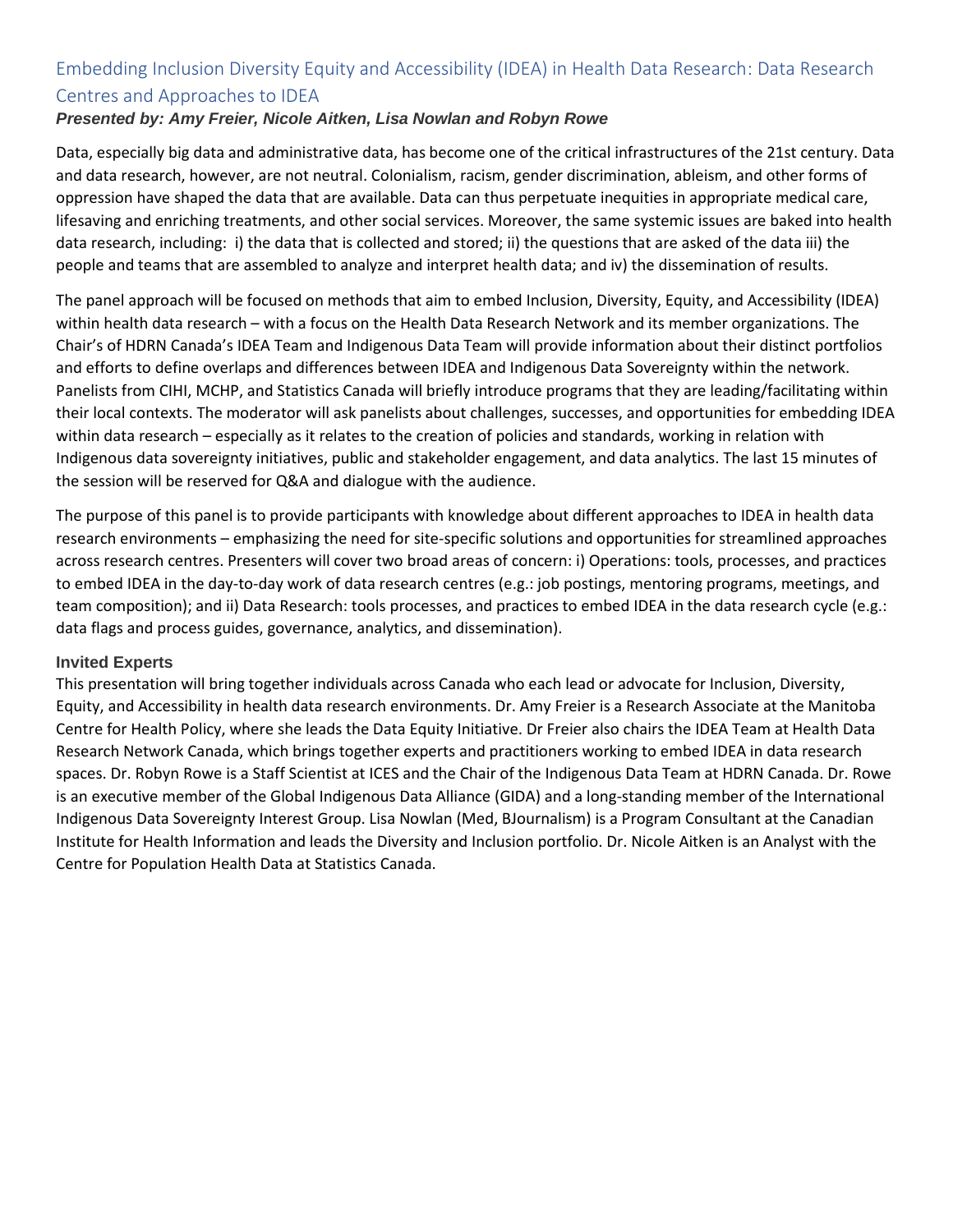# Embedding Inclusion Diversity Equity and Accessibility (IDEA) in Health Data Research: Data Research Centres and Approaches to IDEA

## *Presented by: Amy Freier, Nicole Aitken, Lisa Nowlan and Robyn Rowe*

Data, especially big data and administrative data, has become one of the critical infrastructures of the 21st century. Data and data research, however, are not neutral. Colonialism, racism, gender discrimination, ableism, and other forms of oppression have shaped the data that are available. Data can thus perpetuate inequities in appropriate medical care, lifesaving and enriching treatments, and other social services. Moreover, the same systemic issues are baked into health data research, including: i) the data that is collected and stored; ii) the questions that are asked of the data iii) the people and teams that are assembled to analyze and interpret health data; and iv) the dissemination of results.

The panel approach will be focused on methods that aim to embed Inclusion, Diversity, Equity, and Accessibility (IDEA) within health data research – with a focus on the Health Data Research Network and its member organizations. The Chair's of HDRN Canada's IDEA Team and Indigenous Data Team will provide information about their distinct portfolios and efforts to define overlaps and differences between IDEA and Indigenous Data Sovereignty within the network. Panelists from CIHI, MCHP, and Statistics Canada will briefly introduce programs that they are leading/facilitating within their local contexts. The moderator will ask panelists about challenges, successes, and opportunities for embedding IDEA within data research – especially as it relates to the creation of policies and standards, working in relation with Indigenous data sovereignty initiatives, public and stakeholder engagement, and data analytics. The last 15 minutes of the session will be reserved for Q&A and dialogue with the audience.

The purpose of this panel is to provide participants with knowledge about different approaches to IDEA in health data research environments – emphasizing the need for site-specific solutions and opportunities for streamlined approaches across research centres. Presenters will cover two broad areas of concern: i) Operations: tools, processes, and practices to embed IDEA in the day-to-day work of data research centres (e.g.: job postings, mentoring programs, meetings, and team composition); and ii) Data Research: tools processes, and practices to embed IDEA in the data research cycle (e.g.: data flags and process guides, governance, analytics, and dissemination).

### **Invited Experts**

This presentation will bring together individuals across Canada who each lead or advocate for Inclusion, Diversity, Equity, and Accessibility in health data research environments. Dr. Amy Freier is a Research Associate at the Manitoba Centre for Health Policy, where she leads the Data Equity Initiative. Dr Freier also chairs the IDEA Team at Health Data Research Network Canada, which brings together experts and practitioners working to embed IDEA in data research spaces. Dr. Robyn Rowe is a Staff Scientist at ICES and the Chair of the Indigenous Data Team at HDRN Canada. Dr. Rowe is an executive member of the Global Indigenous Data Alliance (GIDA) and a long-standing member of the International Indigenous Data Sovereignty Interest Group. Lisa Nowlan (Med, BJournalism) is a Program Consultant at the Canadian Institute for Health Information and leads the Diversity and Inclusion portfolio. Dr. Nicole Aitken is an Analyst with the Centre for Population Health Data at Statistics Canada.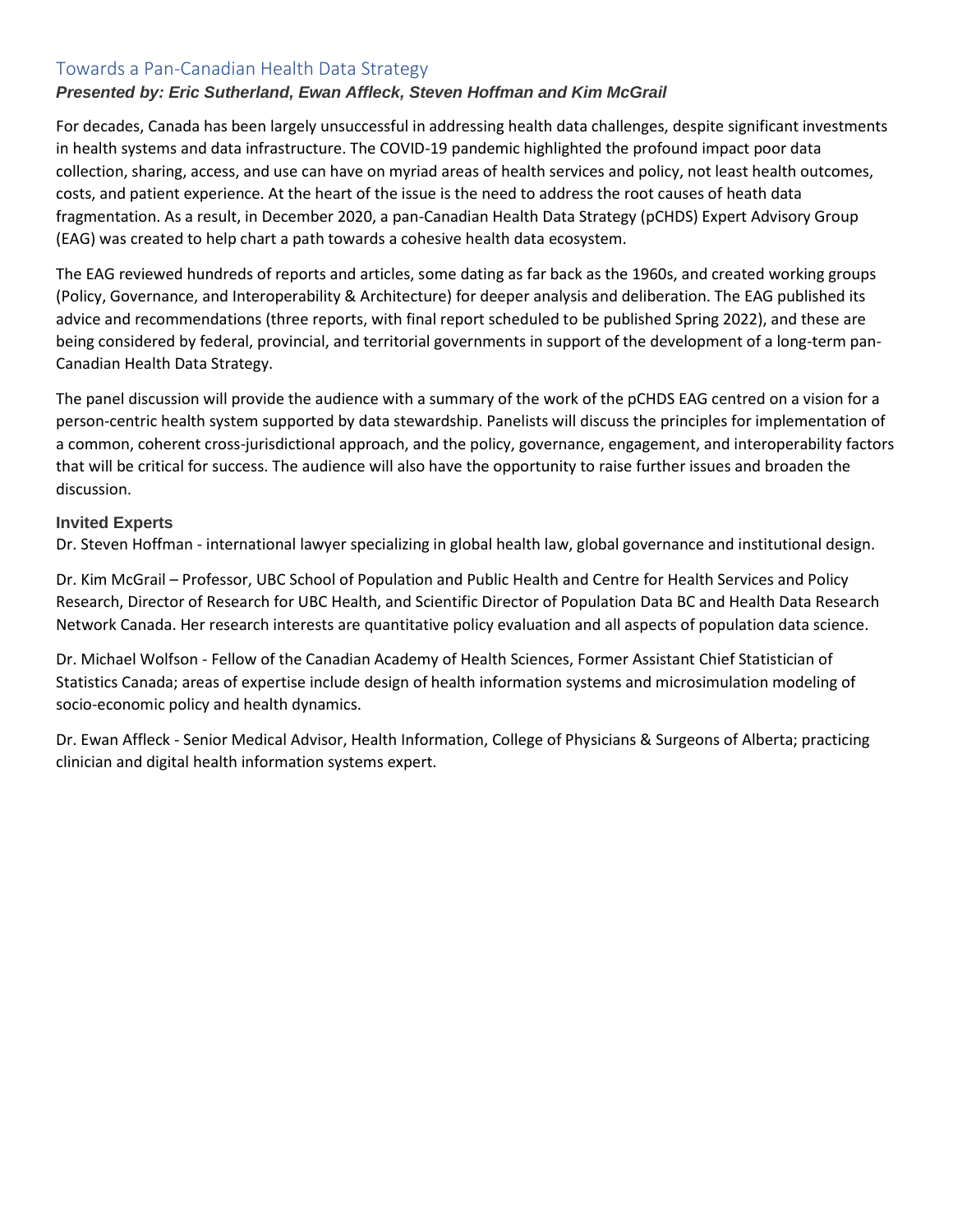# Towards a Pan-Canadian Health Data Strategy

## *Presented by: Eric Sutherland, Ewan Affleck, Steven Hoffman and Kim McGrail*

For decades, Canada has been largely unsuccessful in addressing health data challenges, despite significant investments in health systems and data infrastructure. The COVID-19 pandemic highlighted the profound impact poor data collection, sharing, access, and use can have on myriad areas of health services and policy, not least health outcomes, costs, and patient experience. At the heart of the issue is the need to address the root causes of heath data fragmentation. As a result, in December 2020, a pan-Canadian Health Data Strategy (pCHDS) Expert Advisory Group (EAG) was created to help chart a path towards a cohesive health data ecosystem.

The EAG reviewed hundreds of reports and articles, some dating as far back as the 1960s, and created working groups (Policy, Governance, and Interoperability & Architecture) for deeper analysis and deliberation. The EAG published its advice and recommendations (three reports, with final report scheduled to be published Spring 2022), and these are being considered by federal, provincial, and territorial governments in support of the development of a long-term pan-Canadian Health Data Strategy.

The panel discussion will provide the audience with a summary of the work of the pCHDS EAG centred on a vision for a person-centric health system supported by data stewardship. Panelists will discuss the principles for implementation of a common, coherent cross-jurisdictional approach, and the policy, governance, engagement, and interoperability factors that will be critical for success. The audience will also have the opportunity to raise further issues and broaden the discussion.

### **Invited Experts**

Dr. Steven Hoffman - international lawyer specializing in global health law, global governance and institutional design.

Dr. Kim McGrail – Professor, UBC School of Population and Public Health and Centre for Health Services and Policy Research, Director of Research for UBC Health, and Scientific Director of Population Data BC and Health Data Research Network Canada. Her research interests are quantitative policy evaluation and all aspects of population data science.

Dr. Michael Wolfson - Fellow of the Canadian Academy of Health Sciences, Former Assistant Chief Statistician of Statistics Canada; areas of expertise include design of health information systems and microsimulation modeling of socio-economic policy and health dynamics.

Dr. Ewan Affleck - Senior Medical Advisor, Health Information, College of Physicians & Surgeons of Alberta; practicing clinician and digital health information systems expert.